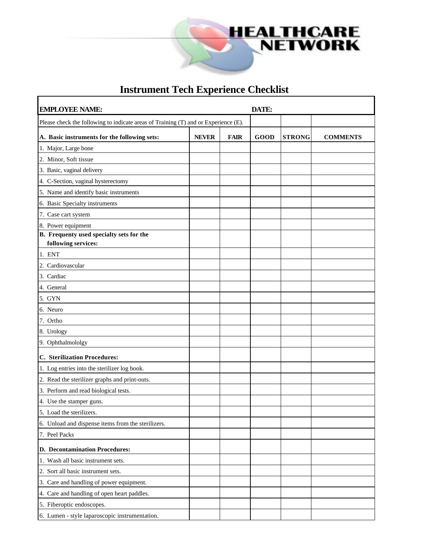

7

## **Instrument Tech Experience Checklist**

Г

| <b>EMPLOYEE NAME:</b>                                                               | DATE:        |             |      |               |                 |  |  |  |
|-------------------------------------------------------------------------------------|--------------|-------------|------|---------------|-----------------|--|--|--|
| Please check the following to indicate areas of Training (T) and or Experience (E). |              |             |      |               |                 |  |  |  |
| A. Basic instruments for the following sets:                                        | <b>NEVER</b> | <b>FAIR</b> | GOOD | <b>STRONG</b> | <b>COMMENTS</b> |  |  |  |
| 1. Major, Large bone                                                                |              |             |      |               |                 |  |  |  |
| 2. Minor, Soft tissue                                                               |              |             |      |               |                 |  |  |  |
| 3. Basic, vaginal delivery                                                          |              |             |      |               |                 |  |  |  |
| 4. C-Section, vaginal hysterectomy                                                  |              |             |      |               |                 |  |  |  |
| 5. Name and identify basic instruments                                              |              |             |      |               |                 |  |  |  |
| 6. Basic Specialty instruments                                                      |              |             |      |               |                 |  |  |  |
| 7. Case cart system                                                                 |              |             |      |               |                 |  |  |  |
| 8. Power equipment                                                                  |              |             |      |               |                 |  |  |  |
| B. Frequenty used specialty sets for the                                            |              |             |      |               |                 |  |  |  |
| following services:                                                                 |              |             |      |               |                 |  |  |  |
| 1. ENT                                                                              |              |             |      |               |                 |  |  |  |
| 2. Cardiovascular                                                                   |              |             |      |               |                 |  |  |  |
| 3. Cardiac                                                                          |              |             |      |               |                 |  |  |  |
| 4. General                                                                          |              |             |      |               |                 |  |  |  |
| 5. GYN                                                                              |              |             |      |               |                 |  |  |  |
| 6. Neuro                                                                            |              |             |      |               |                 |  |  |  |
| 7. Ortho                                                                            |              |             |      |               |                 |  |  |  |
| 8. Urology                                                                          |              |             |      |               |                 |  |  |  |
| 9. Ophthalmololgy                                                                   |              |             |      |               |                 |  |  |  |
| C. Sterilization Procedures:                                                        |              |             |      |               |                 |  |  |  |
| 1. Log entries into the sterilizer log book.                                        |              |             |      |               |                 |  |  |  |
| 2. Read the sterilizer graphs and print-outs.                                       |              |             |      |               |                 |  |  |  |
| 3. Perform and read biological tests.                                               |              |             |      |               |                 |  |  |  |
| 4. Use the stamper guns.                                                            |              |             |      |               |                 |  |  |  |
| 5. Load the sterilizers.                                                            |              |             |      |               |                 |  |  |  |
| 6. Unload and dispense items from the sterilizers.                                  |              |             |      |               |                 |  |  |  |
| 7. Peel Packs                                                                       |              |             |      |               |                 |  |  |  |
| D. Decontamination Procedures:                                                      |              |             |      |               |                 |  |  |  |
| 1. Wash all basic instrument sets.                                                  |              |             |      |               |                 |  |  |  |
| 2. Sort all basic instrument sets.                                                  |              |             |      |               |                 |  |  |  |
| 3. Care and handling of power equipment.                                            |              |             |      |               |                 |  |  |  |
| 4. Care and handling of open heart paddles.                                         |              |             |      |               |                 |  |  |  |
| 5. Fiberoptic endoscopes.                                                           |              |             |      |               |                 |  |  |  |
| 6. Lumen - style laparoscopic instrumentation.                                      |              |             |      |               |                 |  |  |  |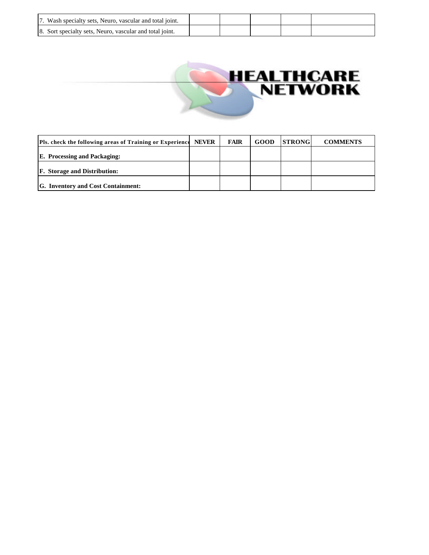| 7. Wash specialty sets, Neuro, vascular and total joint. |  |  |  |
|----------------------------------------------------------|--|--|--|
| 8. Sort specialty sets, Neuro, vascular and total joint. |  |  |  |



| <b>Pls.</b> check the following areas of Training or Experience | <b>NEVER</b> | FAIR | <b>GOOD</b> | <b>STRONGI</b> | <b>COMMENTS</b> |
|-----------------------------------------------------------------|--------------|------|-------------|----------------|-----------------|
| <b>E.</b> Processing and Packaging:                             |              |      |             |                |                 |
| <b>F.</b> Storage and Distribution:                             |              |      |             |                |                 |
| <b>G.</b> Inventory and Cost Containment:                       |              |      |             |                |                 |